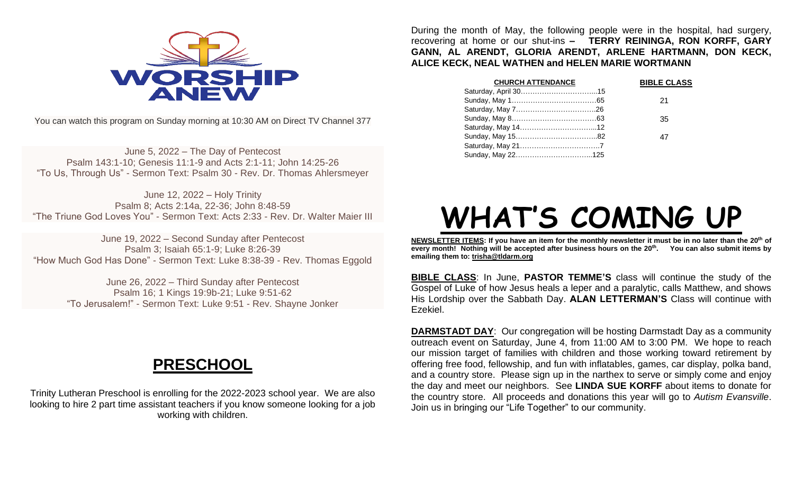

You can watch this program on Sunday morning at 10:30 AM on Direct TV Channel 377

June 5, 2022 – The Day of Pentecost Psalm 143:1-10; Genesis 11:1-9 and Acts 2:1-11; John 14:25-26 "To Us, Through Us" - Sermon Text: Psalm 30 - Rev. Dr. Thomas Ahlersmeyer

June 12, 2022 – Holy Trinity Psalm 8; Acts 2:14a, 22-36; John 8:48-59 "The Triune God Loves You" - Sermon Text: Acts 2:33 - Rev. Dr. Walter Maier III

June 19, 2022 – Second Sunday after Pentecost Psalm 3; Isaiah 65:1-9; Luke 8:26-39 "How Much God Has Done" - Sermon Text: Luke 8:38-39 - Rev. Thomas Eggold

June 26, 2022 – Third Sunday after Pentecost Psalm 16; 1 Kings 19:9b-21; Luke 9:51-62 "To Jerusalem!" - Sermon Text: Luke 9:51 - Rev. Shayne Jonker

# **PRESCHOOL**

Trinity Lutheran Preschool is enrolling for the 2022-2023 school year. We are also looking to hire 2 part time assistant teachers if you know someone looking for a job working with children.

During the month of May, the following people were in the hospital, had surgery, recovering at home or our shut-ins **– TERRY REININGA, RON KORFF, GARY GANN, AL ARENDT, GLORIA ARENDT, ARLENE HARTMANN, DON KECK, ALICE KECK, NEAL WATHEN and HELEN MARIE WORTMANN**

| <b>CHURCH ATTENDANCE</b> | <b>BIBLE CLASS</b> |
|--------------------------|--------------------|
|                          |                    |
|                          | 21                 |
|                          |                    |
|                          | 35                 |
|                          |                    |
|                          | 47                 |
|                          |                    |
|                          |                    |

# **WHAT'S COMING UP**

**NEWSLETTER ITEMS: If you have an item for the monthly newsletter it must be in no later than the 20th of every month! Nothing will be accepted after business hours on the 20th . You can also submit items by emailing them to: [trisha@tldarm.org](mailto:trisha@tldarm.org)**

**BIBLE CLASS**: In June, **PASTOR TEMME'S** class will continue the study of the Gospel of Luke of how Jesus heals a leper and a paralytic, calls Matthew, and shows His Lordship over the Sabbath Day. **ALAN LETTERMAN'S** Class will continue with Ezekiel.

**DARMSTADT DAY**: Our congregation will be hosting Darmstadt Day as a community outreach event on Saturday, June 4, from 11:00 AM to 3:00 PM. We hope to reach our mission target of families with children and those working toward retirement by offering free food, fellowship, and fun with inflatables, games, car display, polka band, and a country store. Please sign up in the narthex to serve or simply come and enjoy the day and meet our neighbors. See **LINDA SUE KORFF** about items to donate for the country store. All proceeds and donations this year will go to *Autism Evansville*. Join us in bringing our "Life Together" to our community.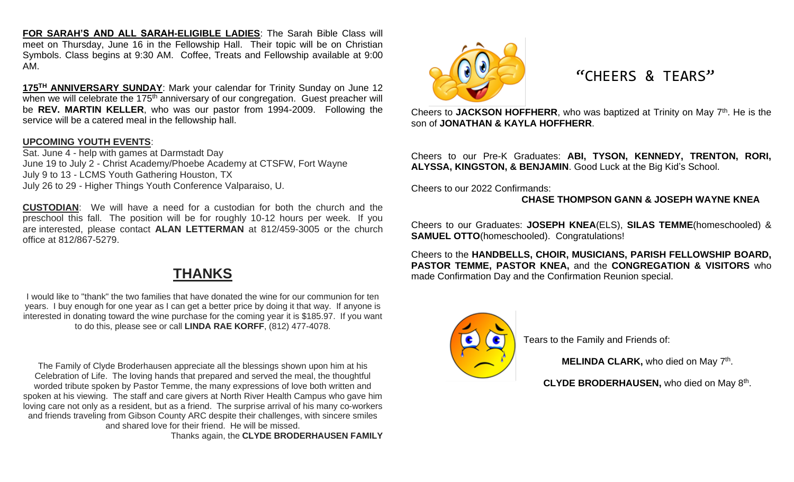**FOR SARAH'S AND ALL SARAH-ELIGIBLE LADIES**: The Sarah Bible Class will meet on Thursday, June 16 in the Fellowship Hall. Their topic will be on Christian Symbols. Class begins at 9:30 AM. Coffee, Treats and Fellowship available at 9:00 AM.

**175TH ANNIVERSARY SUNDAY**: Mark your calendar for Trinity Sunday on June 12 when we will celebrate the 175<sup>th</sup> anniversary of our congregation. Guest preacher will be **REV. MARTIN KELLER**, who was our pastor from 1994-2009. Following the service will be a catered meal in the fellowship hall.

#### **UPCOMING YOUTH EVENTS**:

Sat. June 4 - help with games at Darmstadt Day June 19 to July 2 - Christ Academy/Phoebe Academy at CTSFW, Fort Wayne July 9 to 13 - LCMS Youth Gathering Houston, TX July 26 to 29 - Higher Things Youth Conference Valparaiso, U.

**CUSTODIAN**: We will have a need for a custodian for both the church and the preschool this fall. The position will be for roughly 10-12 hours per week. If you are interested, please contact **ALAN LETTERMAN** at 812/459-3005 or the church office at 812/867-5279.

### **THANKS**

I would like to "thank" the two families that have donated the wine for our communion for ten years. I buy enough for one year as I can get a better price by doing it that way. If anyone is interested in donating toward the wine purchase for the coming year it is \$185.97. If you want to do this, please see or call **LINDA RAE KORFF**, (812) 477-4078.

The Family of Clyde Broderhausen appreciate all the blessings shown upon him at his Celebration of Life. The loving hands that prepared and served the meal, the thoughtful worded tribute spoken by Pastor Temme, the many expressions of love both written and spoken at his viewing. The staff and care givers at North River Health Campus who gave him loving care not only as a resident, but as a friend. The surprise arrival of his many co-workers and friends traveling from Gibson County ARC despite their challenges, with sincere smiles and shared love for their friend. He will be missed.

Thanks again, the **CLYDE BRODERHAUSEN FAMILY**



#### "CHEERS & TEARS"

Cheers to JACKSON HOFFHERR, who was baptized at Trinity on May 7<sup>th</sup>. He is the son of **JONATHAN & KAYLA HOFFHERR**.

Cheers to our Pre-K Graduates: **ABI, TYSON, KENNEDY, TRENTON, RORI, ALYSSA, KINGSTON, & BENJAMIN**. Good Luck at the Big Kid's School.

Cheers to our 2022 Confirmands:

#### **CHASE THOMPSON GANN & JOSEPH WAYNE KNEA**

Cheers to our Graduates: **JOSEPH KNEA**(ELS), **SILAS TEMME**(homeschooled) & **SAMUEL OTTO**(homeschooled). Congratulations!

Cheers to the **HANDBELLS, CHOIR, MUSICIANS, PARISH FELLOWSHIP BOARD, PASTOR TEMME, PASTOR KNEA,** and the **CONGREGATION & VISITORS** who made Confirmation Day and the Confirmation Reunion special.



Tears to the Family and Friends of:

**MELINDA CLARK, who died on May 7th.** 

CLYDE BRODERHAUSEN, who died on May 8<sup>th</sup>.